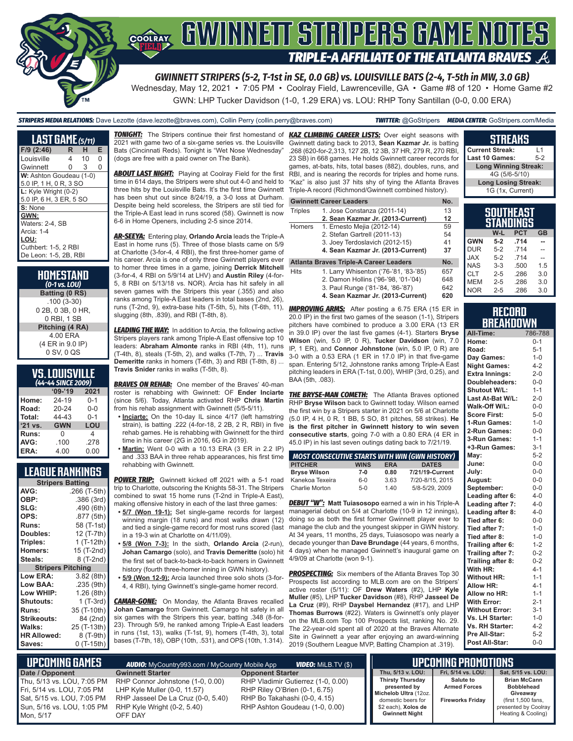# **COORAY GWINNEIT STRIPERS GAME NOTES TRIPLE-A AFFILIATE OF THE ATLANTA BRAVES**

*GWINNETT STRIPERS (5-2, T-1st in SE, 0.0 GB) vs. LOUISVILLE BATS (2-4, T-5th in MW, 3.0 GB)* Wednesday, May 12, 2021 • 7:05 PM • Coolray Field, Lawrenceville, GA • Game #8 of 120 • Home Game #2

GWN: LHP Tucker Davidson (1-0, 1.29 ERA) vs. LOU: RHP Tony Santillan (0-0, 0.00 ERA)

*STRIPERS MEDIA RELATIONS:* Dave Lezotte (dave.lezotte@braves.com), Collin Perry (collin.perry@braves.com) *TWITTER:* @GoStripers *MEDIA CENTER:* GoStripers.com/Media

| LAST GAME (5/11)         |   |                 |   |
|--------------------------|---|-----------------|---|
| $F/9$ (2:46)             | R | н               | E |
| Louisville               | 4 | 10 <sup>1</sup> | 0 |
| Gwinnett                 | 0 | 3               | 0 |
| W: Ashton Goudeau (1-0)  |   |                 |   |
| 5.0 IP, 1 H, 0 R, 3 SO   |   |                 |   |
| $L:$ Kyle Wright $(0-2)$ |   |                 |   |
| 5.0 IP, 6 H, 3 ER, 5 SO  |   |                 |   |
| S: None                  |   |                 |   |
| GWN:                     |   |                 |   |
| Waters: 2-4, SB          |   |                 |   |
| Arcia: 1-4               |   |                 |   |
| LOU:                     |   |                 |   |
| Cuthbert: 1-5, 2 RBI     |   |                 |   |
| De Leon: 1-5, 2B, RBI    |   |                 |   |

#### **HOMESTAND**  *(0-1 vs. LOU)*

**Batting (0 RS)** .100 (3-30) 0 2B, 0 3B, 0 HR, 0 RBI, 1 SB **Pitching (4 RA)** 4.00 ERA (4 ER in 9.0 IP) 0 SV, 0 QS

### **VS. LOUISVILLE**

| (44-44 SINCE 2009) |                   |         |  |  |  |  |  |  |  |  |
|--------------------|-------------------|---------|--|--|--|--|--|--|--|--|
|                    | $09 - 19$<br>2021 |         |  |  |  |  |  |  |  |  |
| Home:              | 24-19             | $0 - 1$ |  |  |  |  |  |  |  |  |
| Road:              | 20-24             | $0 - 0$ |  |  |  |  |  |  |  |  |
| Total:             | 44-43             | $0 - 1$ |  |  |  |  |  |  |  |  |
| '21 vs.            | <b>GWN</b>        | LOU     |  |  |  |  |  |  |  |  |
| Runs:              | O                 | 4       |  |  |  |  |  |  |  |  |
| AVG:               | .100              | .278    |  |  |  |  |  |  |  |  |
| ERA:               | 4.00              | 0.00    |  |  |  |  |  |  |  |  |

### **LEAGUE RANKINGS**

|                          | <b>Stripers Batting</b> |  |  |  |  |  |
|--------------------------|-------------------------|--|--|--|--|--|
| AVG:                     | .266 (T-5th)            |  |  |  |  |  |
| OBP:                     | .386 (3rd)              |  |  |  |  |  |
| SLG:                     | .490 (6th)              |  |  |  |  |  |
| OPS:                     | .877 (5th)              |  |  |  |  |  |
| <b>Runs:</b>             | 58 (T-1st)              |  |  |  |  |  |
| Doubles:                 | 12 (T-7th)              |  |  |  |  |  |
| Triples:                 | 1 (T-12th)              |  |  |  |  |  |
| <b>Homers:</b>           | 15 (T-2nd)              |  |  |  |  |  |
| Steals:                  | 8 (T-2nd)               |  |  |  |  |  |
| <b>Stripers Pitching</b> |                         |  |  |  |  |  |
| <b>Low ERA:</b>          | 3.82 (8th)              |  |  |  |  |  |
| Low BAA:                 | .235 (9th)              |  |  |  |  |  |
| Low WHIP:                | 1.26 (8th)              |  |  |  |  |  |
| <b>Shutouts:</b>         | 1 (T-3rd)               |  |  |  |  |  |
| <b>Runs:</b>             | 35 (T-10th)             |  |  |  |  |  |
| <b>Strikeouts:</b>       | 84 (2nd)                |  |  |  |  |  |
| Walks:                   | 25 (T-13th)             |  |  |  |  |  |
| <b>HR Allowed:</b>       | 8 (T-9th)               |  |  |  |  |  |
| Saves:                   | 0 (T-15th)              |  |  |  |  |  |

*TONIGHT:* The Stripers continue their first homestand of *KAZ CLIMBING CAREER LISTS:* Over eight seasons with 2021 with game two of a six-game series vs. the Louisville Bats (Cincinnati Reds). Tonight is "Wet Nose Wednesday" (dogs are free with a paid owner on The Bank).

*ABOUT LAST NIGHT:* Playing at Coolray Field for the first time in 614 days, the Stripers were shut out 4-0 and held to three hits by the Louisville Bats. It's the first time Gwinnett has been shut out since 8/24/19, a 3-0 loss at Durham. Despite being held scoreless, the Stripers are stil tied for the Triple-A East lead in runs scored (58). Gwinnett is now 6-6 in Home Openers, including 2-5 since 2014.

*AR-SEEYA:* Entering play, **Orlando Arcia** leads the Triple-A East in home runs (5). Three of those blasts came on 5/9 at Charlotte (3-for-4, 4 RBI), the first three-homer game of his career. Arcia is one of only three Gwinnett players ever to homer three times in a game, joining **Derrick Mitchell** (3-for-4, 4 RBI on 5/9/14 at LHV) and **Austin Riley** (4-for-5, 8 RBI on 5/13/18 vs. NOR). Arcia has hit safely in all seven games with the Stripers this year (.355) and also ranks among Triple-A East leaders in total bases (2nd, 26), runs (T-2nd, 9), extra-base hits (T-5th, 5), hits (T-6th, 11), slugging (8th, .839), and RBI (T-8th, 8).

*LEADING THE WAY:* In addition to Arcia, the following active Stripers players rank among Triple-A East offensive top 10 leaders: **Abraham Almonte** ranks in RBI (4th, 11), runs (T-4th, 8), steals (T-5th, 2), and walks (T-7th, 7) ... **Travis Demeritte** ranks in homers (T-6th, 3) and RBI (T-8th, 8) ... **Travis Snider** ranks in walks (T-5th, 8).

**BRAVES ON REHAB:** One member of the Braves' 40-man roster is rehabbing with Gwinnett: OF **Ender Inciarte** (since 5/6). Today, Atlanta activated RHP **Chris Martin** from his rehab assignment with Gwinnett (5/5-5/11).

**• Inciarte:** On the 10-day IL since 4/17 (left hamstring strain), is batting .222 (4-for-18, 2 2B, 2 R, RBI) in five rehab games. He is rehabbing with Gwinnett for the third time in his career (2G in 2016, 6G in 2019).

**• Martin:** Went 0-0 with a 10.13 ERA (3 ER in 2.2 IP) and .333 BAA in three rehab appearances, his first time rehabbing with Gwinnett.

**POWER TRIP:** Gwinnett kicked off 2021 with a 5-1 road trip to Charlotte, outscoring the Knights 58-31. The Stripers combined to swat 15 home runs (T-2nd in Triple-A East), making offensive history in each of the last three games:

- winning margin (18 runs) and most walks drawn (12) and tied a single-game record for most runs scored (last in a 19-3 win at Charlotte on 4/11/09).
- **• 5/8 (Won 7-3):** In the sixth, **Orlando Arcia** (2-run), **Johan Camargo** (solo), and **Travis Demeritte** (solo) hit the first set of back-to-back-to-back homers in Gwinnett history (fourth three-homer inning in GWN history).

**• 5/9 (Won 12-9):** Arcia launched three solo shots (3-for-4, 4 RBI), tying Gwinnett's single-game homer record.

*CAMAR-GONE:* On Monday, the Atlanta Braves recalled **Johan Camargo** from Gwinnett. Camargo hit safely in all six games with the Stripers this year, batting .348 (8-for-23). Through 5/9, he ranked among Triple-A East leaders in runs (1st, 13), walks (T-1st, 9), homers (T-4th, 3), total bases (T-7th, 18), OBP (10th, .531), and OPS (10th, 1.314).

Gwinnett dating back to 2013, **Sean Kazmar Jr.** is batting .268 (620-for-2,313, 127 2B, 12 3B, 37 HR, 279 R, 270 RBI, 23 SB) in 668 games. He holds Gwinnett career records for games, at-bats, hits, total bases (882), doubles, runs, and RBI, and is nearing the records for triples and home runs. "Kaz" is also just 37 hits shy of tying the Atlanta Braves Triple-A record (Richmond/Gwinnett combined history).

#### **Gwinnett Career Leaders No.**

| Triples | 1. Jose Constanza (2011-14)            | 13  |
|---------|----------------------------------------|-----|
|         | 2. Sean Kazmar Jr. (2013-Current)      | 12  |
| Homers  | 1. Ernesto Mejia (2012-14)             | 59  |
|         | 2. Stefan Gartrell (2011-13)           | 54  |
|         | 3. Joey Terdoslavich (2012-15)         | 41  |
|         | 4. Sean Kazmar Jr. (2013-Current)      | 37  |
|         | Atlanta Braves Triple-A Career Leaders | No. |
|         |                                        |     |

Hits 1. Larry Whisenton ('76-'81, '83-'85) 657 2. Damon Hollins ('96-'98, '01-'04) 648<br>3. Paul Runge ('81-'84, '86-'87) 642 3. Paul Runge ('81-'84, '86-'87)

**4. Sean Kazmar Jr. (2013-Current) 620**

*IMPROVING ARMS:* After posting a 6.75 ERA (15 ER in 20.0 IP) in the first two games of the season (1-1), Stripers pitchers have combined to produce a 3.00 ERA (13 ER in 39.0 IP) over the last five games (4-1). Starters **Bryse Wilson** (win, 5.0 IP, 0 R), **Tucker Davidson** (win, 7.0 IP, 1 ER), and **Connor Johnstone** (win, 5.0 IP, 0 R) are 3-0 with a 0.53 ERA (1 ER in 17.0 IP) in that five-game span. Entering 5/12, Johnstone ranks among Triple-A East pitching leaders in ERA (T-1st, 0.00), WHIP (3rd, 0.25), and BAA (5th, .083).

**THE BRYSE-MAN COMETH:** The Atlanta Braves optioned RHP **Bryse Wilson** back to Gwinnett today. Wilson earned the first win by a Stripers starter in 2021 on 5/6 at Charlotte (5.0 IP, 4 H, 0 R, 1 BB, 5 SO, 81 pitches, 58 strikes). **He is the first pitcher in Gwinnett history to win seven consecutive starts**, going 7-0 with a 0.80 ERA (4 ER in 45.0 IP) in his last seven outings dating back to 7/21/19.

| <b>MOST CONSECUTIVE STARTS WITH WIN (GWN HISTORY)</b> |             |            |                 |
|-------------------------------------------------------|-------------|------------|-----------------|
| <b>PITCHER</b>                                        | <b>WINS</b> | <b>ERA</b> | <b>DATES</b>    |
| <b>Bryse Wilson</b>                                   | $7-0$       | 0.80       | 7/21/19-Current |
| Kanekoa Texeira                                       | $6 - 0$     | 3.63       | 7/20-8/15, 2015 |
| Charlie Morton                                        | $5-0$       | 1.40       | 5/8-5/29, 2009  |

**• 5/7 (Won 19-1):** Set single-game records for largest managerial debut on 5/4 at Charlotte (10-9 in 12 innings), *DEBUT "W":* **Matt Tuiasosopo** earned a win in his Triple-A doing so as both the first former Gwinnett player ever to manage the club and the youngest skipper in GWN history. At 34 years, 11 months, 25 days, Tuiasosopo was nearly a decade younger than **Dave Brundage** (44 years, 6 months, 4 days) when he managed Gwinnett's inaugural game on 4/9/09 at Charlotte (won 9-1).

> **PROSPECTING:** Six members of the Atlanta Braves Top 30 Prospects list according to MLB.com are on the Stripers' active roster (5/11): OF **Drew Waters** (#2), LHP **Kyle Muller** (#5), LHP **Tucker Davidson** (#8), RHP **Jasseel De La Cruz** (#9), RHP **Daysbel Hernandez** (#17), and LHP **Thomas Burrows** (#22). Waters is Gwinnett's only player on the MLB.com Top 100 Prospects list, ranking No. 29. The 22-year-old spent all of 2020 at the Braves Alternate Site in Gwinnett a year after enjoying an award-winning 2019 (Southern League MVP, Batting Champion at .319).

|    | <b>SOUTHEAST</b>                         |  |
|----|------------------------------------------|--|
|    |                                          |  |
|    | 1G (1x, Current)                         |  |
| ś  | <b>Long Losing Streak:</b>               |  |
| í, | 4G (5/6-5/10)                            |  |
| ŀ  | <b>Long Winning Streak:</b>              |  |
| r  | Last 10 Games:<br>$5-2$                  |  |
| ,  | <b>Current Streak:</b><br>$\overline{1}$ |  |
|    |                                          |  |

**STREAKS**

|            |         | וכאאוועטע<br>STANDINGS |           |
|------------|---------|------------------------|-----------|
|            | W-L     | <b>PCT</b>             | <b>GB</b> |
| <b>GWN</b> | $5-2$   | .714                   |           |
| <b>DUR</b> | $5 - 2$ | 714                    |           |
| XAL        | $5-2$   | 714                    |           |
| <b>NAS</b> | $3-3$   | .500                   | 1.5       |
| <b>CLT</b> | $2 - 5$ | .286                   | 3.0       |
| <b>MEM</b> | $2 - 5$ | .286                   | 3.0       |
| <b>NOR</b> | $2 - 5$ | .286                   | 3.0       |

### **RECORD RRFAKDOWN**

| All-Time:             | 786-788 |
|-----------------------|---------|
| Home:                 | $0 - 1$ |
| Road:                 | $5 - 1$ |
| Day Games:            | $1 - 0$ |
| <b>Night Games:</b>   | $4 - 2$ |
| <b>Extra Innings:</b> | $2 - 0$ |
| Doubleheaders:        | $0 - 0$ |
| Shutout W/L:          | $1 - 1$ |
| Last At-Bat W/L:      | $2 - 0$ |
| Walk-Off W/L:         | $0 - 0$ |
| <b>Score First:</b>   | $5-0$   |
| 1-Run Games:          | $1 - 0$ |
| 2-Run Games:          | $0-0$   |
| 3-Run Games:          | $1 - 1$ |
| +3-Run Games:         | $3 - 1$ |
| May:                  | $5 - 2$ |
| June:                 | $0 - 0$ |
| July:                 | $0 - 0$ |
| August:               | $0-0$   |
| September:            | $0-0$   |
| Leading after 6:      | $4-0$   |
| Leading after 7:      | $4 - 0$ |
| Leading after 8:      | $4 - 0$ |
| Tied after 6:         | $0-0$   |
| Tied after 7:         | $1 - 0$ |
| Tied after 8:         | $1 - 0$ |
| Trailing after 6:     | $1 - 2$ |
| Trailing after 7:     | $0 - 2$ |
| Trailing after 8:     | $0 - 2$ |
| With HR:              | $4 - 1$ |
| <b>Without HR:</b>    | $1 - 1$ |
| <b>Allow HR:</b>      | $4 - 1$ |
| Allow no HR:          | $1 - 1$ |
| <b>With Error:</b>    | $2 - 1$ |
| <b>Without Error:</b> | $3 - 1$ |
| Vs. LH Starter:       | $1 - 0$ |
| Vs. RH Starter:       | $4 - 2$ |
| Pre All-Star:         | $5 - 2$ |
| Post All-Star:        | $0 - 0$ |

| I UPCOMING GAMES '                                                                                                                | <b>AUDIO:</b> MyCountry993.com / MyCountry Mobile App                                                                                            | <b>VIDEO: MILB.TV (\$)</b>                                                                                                            |                                                                                                                                        | <b>UPCOMING PROMOTIONS</b>                                         |                                                                                                                          |
|-----------------------------------------------------------------------------------------------------------------------------------|--------------------------------------------------------------------------------------------------------------------------------------------------|---------------------------------------------------------------------------------------------------------------------------------------|----------------------------------------------------------------------------------------------------------------------------------------|--------------------------------------------------------------------|--------------------------------------------------------------------------------------------------------------------------|
| Date / Opponent                                                                                                                   | <b>Gwinnett Starter</b>                                                                                                                          | <b>Opponent Starter</b>                                                                                                               | Thu. 5/13 v. LOU:                                                                                                                      | Fri. 5/14 vs. LOU:                                                 | Sat, 5/15 vs. LOU:                                                                                                       |
| Thu. 5/13 vs. LOU. 7:05 PM<br>Fri, 5/14 vs. LOU, 7:05 PM<br>Sat, 5/15 vs. LOU, 7:05 PM<br>Sun, 5/16 vs. LOU, 1:05 PM<br>Mon. 5/17 | RHP Connor Johnstone (1-0, 0.00)<br>LHP Kyle Muller (0-0, 11.57)<br>RHP Jasseel De La Cruz (0-0, 5.40)<br>RHP Kyle Wright (0-2, 5.40)<br>OFF DAY | RHP Vladimir Gutierrez (1-0, 0.00)<br>RHP Riley O'Brien (0-1, 6.75)<br>RHP Bo Takahashi (0-0, 4.15)<br>RHP Ashton Goudeau (1-0, 0.00) | <b>Thirsty Thursday</b><br>presented by<br>Michelob Ultra (12oz.<br>domestic beers for<br>\$2 each), Xolos de<br><b>Gwinnett Night</b> | <b>Salute to</b><br><b>Armed Forces</b><br><b>Fireworks Fridav</b> | <b>Brian McCann</b><br><b>Bobblehead</b><br>Giveawav<br>(first 1,500 fans,<br>presented by Coolray<br>Heating & Cooling) |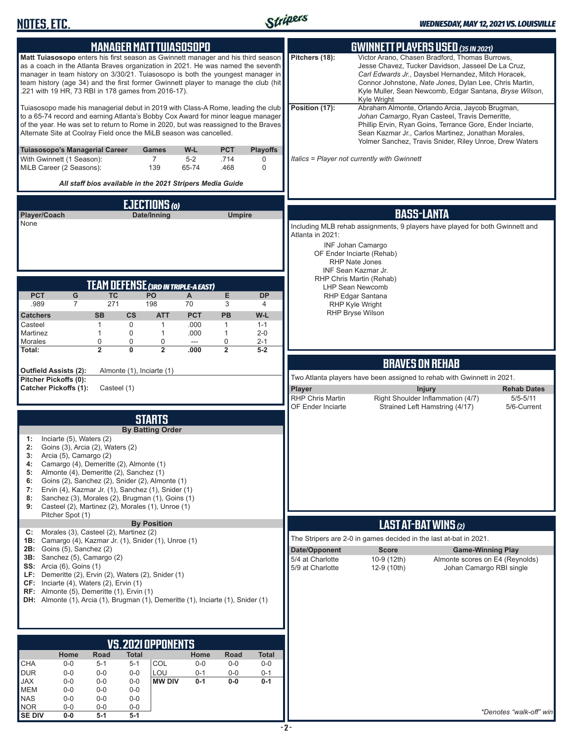

| <b>MANAGER MATT TUIASOSOPO</b><br><b>Matt Tuiasosopo</b> enters his first season as Gwinnett manager and his third season<br>as a coach in the Atlanta Braves organization in 2021. He was named the seventh<br>manager in team history on 3/30/21. Tuiasosopo is both the youngest manager in<br>team history (age 34) and the first former Gwinnett player to manage the club (hit<br>.221 with 19 HR, 73 RBI in 178 games from 2016-17).<br>Tuiasosopo made his managerial debut in 2019 with Class-A Rome, leading the club<br>to a 65-74 record and earning Atlanta's Bobby Cox Award for minor league manager<br>of the year. He was set to return to Rome in 2020, but was reassigned to the Braves<br>Alternate Site at Coolray Field once the MiLB season was cancelled. |                                                                                                                                                                                                   |                                                                                                                           |                                                                                                                                                                                                                                                            |                                                      |                                                                            | Pitchers (18):<br>Position (17):                                                                                                                                                                    | <b>GWINNETT PLAYERS USED (35 IN 2021)</b><br>Victor Arano, Chasen Bradford, Thomas Burrows,<br>Jesse Chavez, Tucker Davidson, Jasseel De La Cruz,<br>Carl Edwards Jr., Daysbel Hernandez, Mitch Horacek,<br>Connor Johnstone, Nate Jones, Dylan Lee, Chris Martin,<br>Kyle Muller, Sean Newcomb, Edgar Santana, Bryse Wilson,<br>Kyle Wright<br>Abraham Almonte, Orlando Arcia, Jaycob Brugman,<br>Johan Camargo, Ryan Casteel, Travis Demeritte,<br>Phillip Ervin, Ryan Goins, Terrance Gore, Ender Inciarte,<br>Sean Kazmar Jr., Carlos Martinez, Jonathan Morales,<br>Yolmer Sanchez, Travis Snider, Riley Unroe, Drew Waters |                                                                                                                                                                                                                     |  |
|-----------------------------------------------------------------------------------------------------------------------------------------------------------------------------------------------------------------------------------------------------------------------------------------------------------------------------------------------------------------------------------------------------------------------------------------------------------------------------------------------------------------------------------------------------------------------------------------------------------------------------------------------------------------------------------------------------------------------------------------------------------------------------------|---------------------------------------------------------------------------------------------------------------------------------------------------------------------------------------------------|---------------------------------------------------------------------------------------------------------------------------|------------------------------------------------------------------------------------------------------------------------------------------------------------------------------------------------------------------------------------------------------------|------------------------------------------------------|----------------------------------------------------------------------------|-----------------------------------------------------------------------------------------------------------------------------------------------------------------------------------------------------|----------------------------------------------------------------------------------------------------------------------------------------------------------------------------------------------------------------------------------------------------------------------------------------------------------------------------------------------------------------------------------------------------------------------------------------------------------------------------------------------------------------------------------------------------------------------------------------------------------------------------------|---------------------------------------------------------------------------------------------------------------------------------------------------------------------------------------------------------------------|--|
|                                                                                                                                                                                                                                                                                                                                                                                                                                                                                                                                                                                                                                                                                                                                                                                   | Tuiasosopo's Managerial Career<br>With Gwinnett (1 Season):<br>MiLB Career (2 Seasons):                                                                                                           |                                                                                                                           | Games<br>$\overline{7}$<br>139<br>All staff bios available in the 2021 Stripers Media Guide                                                                                                                                                                | W-L<br>$5-2$<br>65-74                                | <b>PCT</b><br>.714<br>.468                                                 | <b>Playoffs</b><br>0<br>0                                                                                                                                                                           |                                                                                                                                                                                                                                                                                                                                                                                                                                                                                                                                                                                                                                  | Italics = Player not currently with Gwinnett                                                                                                                                                                        |  |
|                                                                                                                                                                                                                                                                                                                                                                                                                                                                                                                                                                                                                                                                                                                                                                                   |                                                                                                                                                                                                   |                                                                                                                           |                                                                                                                                                                                                                                                            |                                                      |                                                                            |                                                                                                                                                                                                     |                                                                                                                                                                                                                                                                                                                                                                                                                                                                                                                                                                                                                                  |                                                                                                                                                                                                                     |  |
| <b>EJECTIONS (0)</b><br>Player/Coach<br>Date/Inning<br><b>Umpire</b><br>None                                                                                                                                                                                                                                                                                                                                                                                                                                                                                                                                                                                                                                                                                                      |                                                                                                                                                                                                   |                                                                                                                           |                                                                                                                                                                                                                                                            |                                                      | Atlanta in 2021:                                                           | <b>BASS-LANTA</b><br>Including MLB rehab assignments, 9 players have played for both Gwinnett and<br><b>INF Johan Camargo</b><br>OF Ender Inciarte (Rehab)<br>RHP Nate Jones<br>INF Sean Kazmar Jr. |                                                                                                                                                                                                                                                                                                                                                                                                                                                                                                                                                                                                                                  |                                                                                                                                                                                                                     |  |
| <b>PCT</b><br>.989<br><b>Catchers</b><br>Casteel<br>Martinez<br>Morales<br>Total:                                                                                                                                                                                                                                                                                                                                                                                                                                                                                                                                                                                                                                                                                                 | G<br>7                                                                                                                                                                                            | <b>TC</b><br>271<br><b>SB</b><br>$\mathsf{cs}$<br>$\mathbf{1}$<br>0<br>$\mathbf{1}$<br>0<br>0<br>0<br>$\overline{2}$<br>0 | <b>TEAM DEFENSE (3RD IN TRIPLE-A EAST)</b><br>PO<br>198<br><b>ATT</b><br>$\mathbf{1}$<br>1<br>0<br>$\overline{2}$                                                                                                                                          | A<br>70<br><b>PCT</b><br>.000<br>.000<br>---<br>.000 | E<br>3<br><b>PB</b><br>$\mathbf{1}$<br>$\mathbf{1}$<br>0<br>$\overline{2}$ | <b>DP</b><br>4<br>W-L<br>$1 - 1$<br>$2 - 0$<br>$2 - 1$<br>$5-2$                                                                                                                                     |                                                                                                                                                                                                                                                                                                                                                                                                                                                                                                                                                                                                                                  | RHP Chris Martin (Rehab)<br><b>LHP Sean Newcomb</b><br>RHP Edgar Santana<br><b>RHP Kyle Wright</b><br>RHP Bryse Wilson                                                                                              |  |
|                                                                                                                                                                                                                                                                                                                                                                                                                                                                                                                                                                                                                                                                                                                                                                                   | Outfield Assists (2):                                                                                                                                                                             | Almonte (1), Inciarte (1)                                                                                                 |                                                                                                                                                                                                                                                            |                                                      |                                                                            |                                                                                                                                                                                                     |                                                                                                                                                                                                                                                                                                                                                                                                                                                                                                                                                                                                                                  | <b>BRAVES ON REHAB</b>                                                                                                                                                                                              |  |
|                                                                                                                                                                                                                                                                                                                                                                                                                                                                                                                                                                                                                                                                                                                                                                                   | Pitcher Pickoffs (0):<br><b>Catcher Pickoffs (1):</b>                                                                                                                                             | Casteel (1)                                                                                                               |                                                                                                                                                                                                                                                            |                                                      |                                                                            |                                                                                                                                                                                                     | Player<br><b>RHP Chris Martin</b><br>OF Ender Inciarte                                                                                                                                                                                                                                                                                                                                                                                                                                                                                                                                                                           | Two Atlanta players have been assigned to rehab with Gwinnett in 2021.<br><b>Injury</b><br><b>Rehab Dates</b><br>Right Shoulder Inflammation (4/7)<br>$5/5 - 5/11$<br>Strained Left Hamstring (4/17)<br>5/6-Current |  |
| 1:<br>2:<br>3:<br>4:<br>5:<br>6:<br>7:<br>8:<br>9:                                                                                                                                                                                                                                                                                                                                                                                                                                                                                                                                                                                                                                                                                                                                | Inciarte (5), Waters (2)<br>Goins (3), Arcia (2), Waters (2)<br>Arcia (5), Camargo (2)<br>Camargo (4), Demeritte (2), Almonte (1)<br>Almonte (4), Demeritte (2), Sanchez (1)                      |                                                                                                                           | <b>STARTS</b><br><b>By Batting Order</b><br>Goins (2), Sanchez (2), Snider (2), Almonte (1)<br>Ervin (4), Kazmar Jr. (1), Sanchez (1), Snider (1)<br>Sanchez (3), Morales (2), Brugman (1), Goins (1)<br>Casteel (2), Martinez (2), Morales (1), Unroe (1) |                                                      |                                                                            |                                                                                                                                                                                                     |                                                                                                                                                                                                                                                                                                                                                                                                                                                                                                                                                                                                                                  |                                                                                                                                                                                                                     |  |
|                                                                                                                                                                                                                                                                                                                                                                                                                                                                                                                                                                                                                                                                                                                                                                                   | Pitcher Spot (1)                                                                                                                                                                                  |                                                                                                                           | <b>By Position</b>                                                                                                                                                                                                                                         |                                                      |                                                                            |                                                                                                                                                                                                     |                                                                                                                                                                                                                                                                                                                                                                                                                                                                                                                                                                                                                                  | <b>LAST AT-BAT WINS (2)</b>                                                                                                                                                                                         |  |
| C:                                                                                                                                                                                                                                                                                                                                                                                                                                                                                                                                                                                                                                                                                                                                                                                | Morales (3), Casteel (2), Martinez (2)                                                                                                                                                            |                                                                                                                           | 1B: Camargo (4), Kazmar Jr. (1), Snider (1), Unroe (1)                                                                                                                                                                                                     |                                                      |                                                                            |                                                                                                                                                                                                     |                                                                                                                                                                                                                                                                                                                                                                                                                                                                                                                                                                                                                                  | The Stripers are 2-0 in games decided in the last at-bat in 2021.                                                                                                                                                   |  |
|                                                                                                                                                                                                                                                                                                                                                                                                                                                                                                                                                                                                                                                                                                                                                                                   | <b>2B:</b> Goins $(5)$ , Sanchez $(2)$<br>3B: Sanchez (5), Camargo (2)<br><b>SS:</b> Arcia (6), Goins (1)<br>CF: Inciarte (4), Waters (2), Ervin (1)<br>RF: Almonte (5), Demeritte (1), Ervin (1) |                                                                                                                           | LF: Demeritte (2), Ervin (2), Waters (2), Snider (1)<br>DH: Almonte (1), Arcia (1), Brugman (1), Demeritte (1), Inciarte (1), Snider (1)                                                                                                                   |                                                      |                                                                            |                                                                                                                                                                                                     | Date/Opponent<br>5/4 at Charlotte<br>5/9 at Charlotte                                                                                                                                                                                                                                                                                                                                                                                                                                                                                                                                                                            | <b>Score</b><br><b>Game-Winning Play</b><br>10-9 (12th)<br>Almonte scores on E4 (Reynolds)<br>Johan Camargo RBI single<br>12-9 (10th)                                                                               |  |
|                                                                                                                                                                                                                                                                                                                                                                                                                                                                                                                                                                                                                                                                                                                                                                                   |                                                                                                                                                                                                   |                                                                                                                           |                                                                                                                                                                                                                                                            |                                                      |                                                                            |                                                                                                                                                                                                     |                                                                                                                                                                                                                                                                                                                                                                                                                                                                                                                                                                                                                                  |                                                                                                                                                                                                                     |  |
|                                                                                                                                                                                                                                                                                                                                                                                                                                                                                                                                                                                                                                                                                                                                                                                   |                                                                                                                                                                                                   |                                                                                                                           | <b>VS.2021 OPPONENTS</b>                                                                                                                                                                                                                                   |                                                      |                                                                            |                                                                                                                                                                                                     |                                                                                                                                                                                                                                                                                                                                                                                                                                                                                                                                                                                                                                  |                                                                                                                                                                                                                     |  |
| <b>CHA</b>                                                                                                                                                                                                                                                                                                                                                                                                                                                                                                                                                                                                                                                                                                                                                                        | Home<br>$0-0$                                                                                                                                                                                     | Road<br><b>Total</b><br>$5 - 1$<br>$5 - 1$                                                                                | COL                                                                                                                                                                                                                                                        | Home<br>$0-0$                                        | Road<br>$0-0$                                                              | Total<br>$0-0$                                                                                                                                                                                      |                                                                                                                                                                                                                                                                                                                                                                                                                                                                                                                                                                                                                                  |                                                                                                                                                                                                                     |  |
| <b>DUR</b><br><b>JAX</b>                                                                                                                                                                                                                                                                                                                                                                                                                                                                                                                                                                                                                                                                                                                                                          | $0 - 0$<br>$0 - 0$                                                                                                                                                                                | $0-0$<br>$0-0$<br>$0 - 0$<br>$0-0$                                                                                        | LOU<br><b>MW DIV</b>                                                                                                                                                                                                                                       | $0 - 1$<br>$0 - 1$                                   | $0-0$<br>$0-0$                                                             | $0 - 1$<br>$0 - 1$                                                                                                                                                                                  |                                                                                                                                                                                                                                                                                                                                                                                                                                                                                                                                                                                                                                  |                                                                                                                                                                                                                     |  |
| <b>MEM</b><br><b>NAS</b>                                                                                                                                                                                                                                                                                                                                                                                                                                                                                                                                                                                                                                                                                                                                                          | $0 - 0$<br>$0 - 0$                                                                                                                                                                                | $0 - 0$<br>$0 - 0$<br>$0 - 0$<br>$0-0$                                                                                    |                                                                                                                                                                                                                                                            |                                                      |                                                                            |                                                                                                                                                                                                     |                                                                                                                                                                                                                                                                                                                                                                                                                                                                                                                                                                                                                                  |                                                                                                                                                                                                                     |  |
| <b>NOR</b><br><b>SE DIV</b>                                                                                                                                                                                                                                                                                                                                                                                                                                                                                                                                                                                                                                                                                                                                                       | $0-0$<br>$0-0$                                                                                                                                                                                    | $0-0$<br>$0-0$<br>$5-1$<br>$5-1$                                                                                          |                                                                                                                                                                                                                                                            |                                                      |                                                                            |                                                                                                                                                                                                     |                                                                                                                                                                                                                                                                                                                                                                                                                                                                                                                                                                                                                                  | *Denotes "walk-off" win                                                                                                                                                                                             |  |
|                                                                                                                                                                                                                                                                                                                                                                                                                                                                                                                                                                                                                                                                                                                                                                                   |                                                                                                                                                                                                   |                                                                                                                           |                                                                                                                                                                                                                                                            |                                                      |                                                                            |                                                                                                                                                                                                     |                                                                                                                                                                                                                                                                                                                                                                                                                                                                                                                                                                                                                                  |                                                                                                                                                                                                                     |  |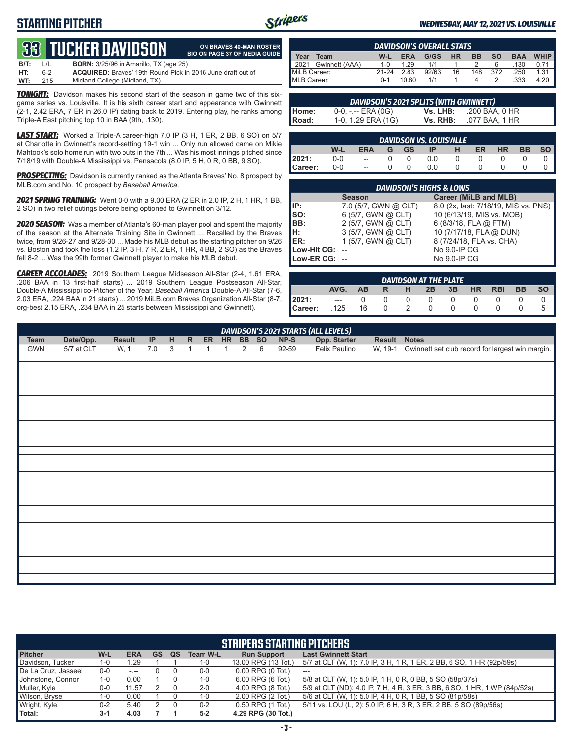## **STARTING PITCHER**



**ON BRAVES 40-MAN ROSTER BIO ON PAGE 37 OF MEDIA GUIDE**

### *WEDNESDAY, MAY 12, 2021 VS. LOUISVILLE*

## **33****TUCKER DAVIDSON**

| B/T: | $\perp$ | <b>BORN:</b> 3/25/96 in Amarillo, TX (age 25)                      |
|------|---------|--------------------------------------------------------------------|
| HT:  | հ-2     | <b>ACQUIRED:</b> Braves' 19th Round Pick in 2016 June draft out of |
| WT:  | 215     | Midland College (Midland, TX).                                     |

*TONIGHT:* Davidson makes his second start of the season in game two of this sixgame series vs. Louisville. It is his sixth career start and appearance with Gwinnett (2-1, 2.42 ERA, 7 ER in 26.0 IP) dating back to 2019. Entering play, he ranks among Triple-A East pitching top 10 in BAA (9th, .130).

*LAST START:* Worked a Triple-A career-high 7.0 IP (3 H, 1 ER, 2 BB, 6 SO) on 5/7 at Charlotte in Gwinnett's record-setting 19-1 win ... Only run allowed came on Mikie Mahtook's solo home run with two outs in the 7th ... Was his most innings pitched since 7/18/19 with Double-A Mississippi vs. Pensacola (8.0 IP, 5 H, 0 R, 0 BB, 9 SO).

*PROSPECTING:* Davidson is currently ranked as the Atlanta Braves' No. 8 prospect by MLB.com and No. 10 prospect by *Baseball America*.

*2021 SPRING TRAINING:* Went 0-0 with a 9.00 ERA (2 ER in 2.0 IP, 2 H, 1 HR, 1 BB, 2 SO) in two relief outings before being optioned to Gwinnett on 3/12.

*2020 SEASON:* Was a member of Atlanta's 60-man player pool and spent the majority of the season at the Alternate Training Site in Gwinnett ... Recalled by the Braves twice, from 9/26-27 and 9/28-30 ... Made his MLB debut as the starting pitcher on 9/26 vs. Boston and took the loss (1.2 IP, 3 H, 7 R, 2 ER, 1 HR, 4 BB, 2 SO) as the Braves fell 8-2 ... Was the 99th former Gwinnett player to make his MLB debut.

*CAREER ACCOLADES:* 2019 Southern League Midseason All-Star (2-4, 1.61 ERA, .206 BAA in 13 first-half starts) ... 2019 Southern League Postseason All-Star, Double-A Mississippi co-Pitcher of the Year, *Baseball America* Double-A All-Star (7-6, 2.03 ERA, .224 BAA in 21 starts) ... 2019 MiLB.com Braves Organization All-Star (8-7, org-best 2.15 ERA, .234 BAA in 25 starts between Mississippi and Gwinnett).

|                                                                            | <b>DAVIDSON'S OVERALL STATS</b> |              |       |       |    |          |            |        |      |  |  |
|----------------------------------------------------------------------------|---------------------------------|--------------|-------|-------|----|----------|------------|--------|------|--|--|
| Year<br>HR.<br><b>SO</b><br>G/GS<br><b>BB</b><br>Team<br><b>ERA</b><br>W-L |                                 |              |       |       |    |          | <b>BAA</b> | WHIP I |      |  |  |
|                                                                            | 2021 Gwinnett (AAA)             | $1 - \Omega$ | 1.29  | 1/1   |    |          | 6          | .130   | 0.71 |  |  |
| MiLB Career:                                                               |                                 | $21-24$      | 2.83  | 92/63 | 16 | 148      | 372        | .250   | 1.31 |  |  |
| MLB Career:                                                                |                                 | $0 - 1$      | 10.80 | 1/1   |    | $\Delta$ |            | .333   | 4.20 |  |  |

| <b>DAVIDSON'S 2021 SPLITS (WITH GWINNETT)</b> |                    |          |                |  |  |  |  |  |  |  |
|-----------------------------------------------|--------------------|----------|----------------|--|--|--|--|--|--|--|
| l Home:                                       | 0-0, -.-- ERA (0G) | Vs. LHB: | .200 BAA, 0 HR |  |  |  |  |  |  |  |
| I Road:                                       | 1-0, 1.29 ERA (1G) | Vs. RHB: | .077 BAA, 1 HR |  |  |  |  |  |  |  |

|         |         |                          |   |           | <b>DAVIDSON VS. LOUISVILLE</b> |   |    |           |           |  |
|---------|---------|--------------------------|---|-----------|--------------------------------|---|----|-----------|-----------|--|
|         | W-L     | ERA                      | G | <b>GS</b> | IP                             | н | ER | <b>HR</b> | <b>BB</b> |  |
| 2021:   | 0-0     | $\overline{\phantom{a}}$ |   |           | 0.0                            |   |    |           |           |  |
| Career: | $0 - 0$ | $\overline{a}$           |   |           | 0.0                            |   |    |           |           |  |

| <b>DAVIDSON'S HIGHS &amp; LOWS</b> |                      |                                      |  |  |  |  |  |  |  |  |  |
|------------------------------------|----------------------|--------------------------------------|--|--|--|--|--|--|--|--|--|
|                                    | <b>Season</b>        | <b>Career (MiLB and MLB)</b>         |  |  |  |  |  |  |  |  |  |
| IP:                                | 7.0 (5/7, GWN @ CLT) | 8.0 (2x, last: 7/18/19, MIS vs. PNS) |  |  |  |  |  |  |  |  |  |
| $\vert$ so:                        | 6 (5/7, GWN @ CLT)   | 10 (6/13/19, MIS vs. MOB)            |  |  |  |  |  |  |  |  |  |
| BB:                                | 2 (5/7, GWN @ CLT)   | 6 (8/3/18, FLA @ FTM)                |  |  |  |  |  |  |  |  |  |
| Iн:                                | 3 (5/7, GWN @ CLT)   | 10 (7/17/18, FLA @ DUN)              |  |  |  |  |  |  |  |  |  |
| <b>IER:</b>                        | 1 (5/7, GWN @ CLT)   | 8 (7/24/18, FLA vs. CHA)             |  |  |  |  |  |  |  |  |  |
| Low-Hit CG:                        |                      | No 9.0-IP CG                         |  |  |  |  |  |  |  |  |  |
| Low-ER CG: --                      |                      | No 9.0-IP CG                         |  |  |  |  |  |  |  |  |  |

| <b>DAVIDSON AT THE PLATE</b> |       |           |   |   |    |    |           |            |           |           |  |
|------------------------------|-------|-----------|---|---|----|----|-----------|------------|-----------|-----------|--|
|                              | AVG.  | <b>AB</b> | R | н | 2B | 3B | <b>HR</b> | <b>RBI</b> | <b>BB</b> | <b>SO</b> |  |
| 12021:                       | $---$ |           |   |   |    |    |           |            |           |           |  |
| Career:                      | 125   | 16        |   |   |    |    |           |            |           |           |  |

|             |            |               |                            |   |              |              |              |   |   |        | <b>DAVIDSON'S 2021 STARTS (ALL LEVELS)</b> |              |                                                          |
|-------------|------------|---------------|----------------------------|---|--------------|--------------|--------------|---|---|--------|--------------------------------------------|--------------|----------------------------------------------------------|
| <b>Team</b> | Date/Opp.  | <b>Result</b> | $\ensuremath{\mathsf{IP}}$ | H | R            | ER HR BB SO  |              |   |   | $NP-S$ | Opp. Starter                               | Result Notes |                                                          |
| <b>GWN</b>  | 5/7 at CLT | W, 1          | 7.0                        | 3 | $\mathbf{1}$ | $\mathbf{1}$ | $\mathbf{1}$ | 2 | 6 | 92-59  | Felix Paulino                              |              | W, 19-1 Gwinnett set club record for largest win margin. |
|             |            |               |                            |   |              |              |              |   |   |        |                                            |              |                                                          |
|             |            |               |                            |   |              |              |              |   |   |        |                                            |              |                                                          |
|             |            |               |                            |   |              |              |              |   |   |        |                                            |              |                                                          |
|             |            |               |                            |   |              |              |              |   |   |        |                                            |              |                                                          |
|             |            |               |                            |   |              |              |              |   |   |        |                                            |              |                                                          |
|             |            |               |                            |   |              |              |              |   |   |        |                                            |              |                                                          |
|             |            |               |                            |   |              |              |              |   |   |        |                                            |              |                                                          |
|             |            |               |                            |   |              |              |              |   |   |        |                                            |              |                                                          |
|             |            |               |                            |   |              |              |              |   |   |        |                                            |              |                                                          |
|             |            |               |                            |   |              |              |              |   |   |        |                                            |              |                                                          |
|             |            |               |                            |   |              |              |              |   |   |        |                                            |              |                                                          |
|             |            |               |                            |   |              |              |              |   |   |        |                                            |              |                                                          |
|             |            |               |                            |   |              |              |              |   |   |        |                                            |              |                                                          |
|             |            |               |                            |   |              |              |              |   |   |        |                                            |              |                                                          |
|             |            |               |                            |   |              |              |              |   |   |        |                                            |              |                                                          |
|             |            |               |                            |   |              |              |              |   |   |        |                                            |              |                                                          |
|             |            |               |                            |   |              |              |              |   |   |        |                                            |              |                                                          |
|             |            |               |                            |   |              |              |              |   |   |        |                                            |              |                                                          |
|             |            |               |                            |   |              |              |              |   |   |        |                                            |              |                                                          |
|             |            |               |                            |   |              |              |              |   |   |        |                                            |              |                                                          |
|             |            |               |                            |   |              |              |              |   |   |        |                                            |              |                                                          |
|             |            |               |                            |   |              |              |              |   |   |        |                                            |              |                                                          |
|             |            |               |                            |   |              |              |              |   |   |        |                                            |              |                                                          |
|             |            |               |                            |   |              |              |              |   |   |        |                                            |              |                                                          |
|             |            |               |                            |   |              |              |              |   |   |        |                                            |              |                                                          |
|             |            |               |                            |   |              |              |              |   |   |        |                                            |              |                                                          |

| <b>STRIPERS STARTING PITCHERS</b> |         |            |    |    |                 |                       |                                                                           |  |  |  |
|-----------------------------------|---------|------------|----|----|-----------------|-----------------------|---------------------------------------------------------------------------|--|--|--|
| <b>Pitcher</b>                    | W-L     | <b>ERA</b> | GS | QS | <b>Team W-L</b> | <b>Run Support</b>    | <b>Last Gwinnett Start</b>                                                |  |  |  |
| Davidson, Tucker                  | 1-0     | 1.29       |    |    | 1-0             | 13.00 RPG (13 Tot.)   | 5/7 at CLT (W, 1): 7.0 IP, 3 H, 1 R, 1 ER, 2 BB, 6 SO, 1 HR (92p/59s)     |  |  |  |
| De La Cruz, Jasseel               | $0-0$   | $-1$       |    |    | $0-0$           | $0.00$ RPG $(0$ Tot.) | ---                                                                       |  |  |  |
| Uohnstone. Connor                 | 1-0     | 0.00       |    |    | 1-0             | $6.00$ RPG $(6$ Tot.) | 5/8 at CLT (W, 1): 5.0 IP, 1 H, 0 R, 0 BB, 5 SO (58p/37s)                 |  |  |  |
| Muller, Kyle                      | $0-0$   | 11.57      |    |    | $2 - 0$         | 4.00 RPG (8 Tot.)     | 5/9 at CLT (ND): 4.0 IP, 7 H, 4 R, 3 ER, 3 BB, 6 SO, 1 HR, 1 WP (84p/52s) |  |  |  |
| Wilson, Bryse                     | 1-0     | 0.00       |    |    | 1-0             | 2.00 RPG (2 Tot.)     | 5/6 at CLT (W, 1): 5.0 IP, 4 H, 0 R, 1 BB, 5 SO (81p/58s)                 |  |  |  |
| Wright, Kyle                      | $0 - 2$ | 5.40       |    |    | $0 - 2$         | 0.50 RPG (1 Tot.)     | 5/11 vs. LOU (L, 2): 5.0 IP, 6 H, 3 R, 3 ER, 2 BB, 5 SO (89p/56s)         |  |  |  |
| Total:                            | $3-1$   | 4.03       |    |    | $5 - 2$         | 4.29 RPG (30 Tot.)    |                                                                           |  |  |  |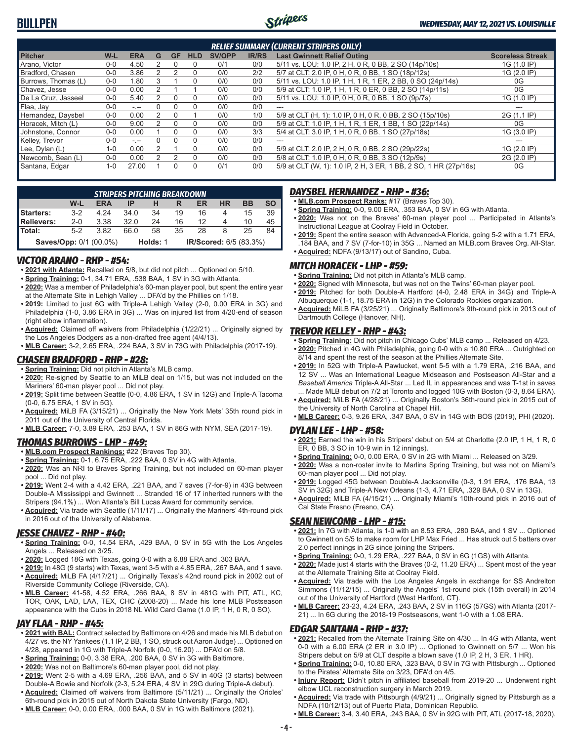

| <b>RELIEF SUMMARY (CURRENT STRIPERS ONLY)</b> |         |                      |   |           |            |               |              |                                                                  |                         |  |  |  |
|-----------------------------------------------|---------|----------------------|---|-----------|------------|---------------|--------------|------------------------------------------------------------------|-------------------------|--|--|--|
| <b>Pitcher</b>                                | W-L     | <b>ERA</b>           | G | <b>GF</b> | <b>HLD</b> | <b>SV/OPP</b> | <b>IR/RS</b> | <b>Last Gwinnett Relief Outing</b>                               | <b>Scoreless Streak</b> |  |  |  |
| Arano, Victor                                 | $0 - 0$ | 4.50                 |   |           | $\Omega$   | 0/1           | 0/0          | 5/11 vs. LOU: 1.0 IP, 2 H, 0 R, 0 BB, 2 SO (14p/10s)             | 1G (1.0 IP)             |  |  |  |
| Bradford, Chasen                              | $0 - 0$ | 3.86                 |   |           | 0          | 0/0           | 2/2          | 5/7 at CLT: 2.0 IP, 0 H, 0 R, 0 BB, 1 SO (18p/12s)               | 1G (2.0 IP)             |  |  |  |
| Burrows, Thomas (L)                           | $0 - 0$ | 1.80                 | 3 |           | 0          | 0/0           | 0/0          | 5/11 vs. LOU: 1.0 IP, 1 H, 1 R, 1 ER, 2 BB, 0 SO (24p/14s)       | 0G                      |  |  |  |
| Chavez, Jesse                                 | $0 - 0$ | 0.00                 |   |           |            | 0/0           | 0/0          | 5/9 at CLT: 1.0 IP, 1 H, 1 R, 0 ER, 0 BB, 2 SO (14p/11s)         | 0G                      |  |  |  |
| De La Cruz. Jasseel                           | $0-0$   | 5.40                 |   |           | 0          | 0/0           | 0/0          | 5/11 vs. LOU: 1.0 IP, 0 H, 0 R, 0 BB, 1 SO (9p/7s)               | 1G (1.0 IP)             |  |  |  |
| Flaa, Jay                                     | $0 - 0$ | $-1 - 1$             |   |           | $\Omega$   | 0/0           | 0/0          | $-$                                                              | ---                     |  |  |  |
| Hernandez, Daysbel                            | $0 - 0$ | 0.00                 |   |           |            | 0/0           | 1/0          | 5/9 at CLT (H, 1): 1.0 IP, 0 H, 0 R, 0 BB, 2 SO (15p/10s)        | 2G (1.1 IP)             |  |  |  |
| Horacek, Mitch (L)                            | $0-0$   | 9.00                 |   |           | 0          | 0/0           | 0/0          | 5/9 at CLT: 1.0 IP, 1 H, 1 R, 1 ER, 1 BB, 1 SO (22p/14s)         | 0G                      |  |  |  |
| Johnstone, Connor                             | $0 - 0$ | 0.00                 |   |           | $\Omega$   | 0/0           | 3/3          | 5/4 at CLT: 3.0 IP, 1 H, 0 R, 0 BB, 1 SO (27p/18s)               | 1G (3.0 IP)             |  |  |  |
| Kelley, Trevor                                | $0 - 0$ | $\sim$ $\sim$ $\sim$ |   |           | $\Omega$   | 0/0           | 0/0          | $- - -$                                                          |                         |  |  |  |
| Lee, Dylan (L)                                | $1 - 0$ | 0.00                 |   |           | 0          | 0/0           | 0/0          | 5/9 at CLT: 2.0 IP, 2 H, 0 R, 0 BB, 2 SO (29p/22s)               | 1G (2.0 IP)             |  |  |  |
| Newcomb, Sean (L)                             | $0 - 0$ | 0.00                 |   |           | $\Omega$   | 0/0           | 0/0          | 5/8 at CLT: 1.0 IP, 0 H, 0 R, 0 BB, 3 SO (12p/9s)                | 2G (2.0 IP)             |  |  |  |
| Santana, Edgar                                | $1 - 0$ | 27.00                |   |           | 0          | 0/1           | 0/0          | 5/9 at CLT (W, 1): 1.0 IP, 2 H, 3 ER, 1 BB, 2 SO, 1 HR (27p/16s) | 0G                      |  |  |  |

| <b>STRIPERS PITCHING BREAKDOWN</b>                                  |         |            |      |    |    |    |           |           |           |  |  |
|---------------------------------------------------------------------|---------|------------|------|----|----|----|-----------|-----------|-----------|--|--|
|                                                                     | W-L     | <b>ERA</b> | ΙP   |    |    | ER | <b>HR</b> | <b>BB</b> | <b>SO</b> |  |  |
| Starters:                                                           | $3-2$   | 4 24       | 34 O | 34 | 19 | 16 | 4         | 15        | 39        |  |  |
| Relievers:                                                          | $2 - 0$ | 3.38       | 32.0 | 24 | 16 | 12 | 4         | 10        | 45        |  |  |
| <b>I</b> Total:                                                     | $5-2$   | 3.82       | 66 O | 58 | 35 | 28 |           | 25        | 84        |  |  |
| IR/Scored: 6/5 (83.3%)<br><b>Saves/Opp: 0/1 (00.0%)</b><br>Holds: 1 |         |            |      |    |    |    |           |           |           |  |  |

### *VICTOR ARANO - RHP - #54:*

- **• 2021 with Atlanta:** Recalled on 5/8, but did not pitch ... Optioned on 5/10.
- **• Spring Training:** 0-1, 34.71 ERA, .538 BAA, 1 SV in 3G with Atlanta.
- **• 2020:** Was a member of Philadelphia's 60-man player pool, but spent the entire year at the Alternate Site in Lehigh Valley ... DFA'd by the Phillies on 1/18.
- **• 2019:** Limited to just 6G with Triple-A Lehigh Valley (2-0, 0.00 ERA in 3G) and Philadelphia (1-0, 3.86 ERA in 3G) ... Was on injured list from 4/20-end of season (right elbow inflammation).
- **• Acquired:** Claimed off waivers from Philadelphia (1/22/21) ... Originally signed by the Los Angeles Dodgers as a non-drafted free agent (4/4/13).
- **• MLB Career:** 3-2, 2.65 ERA, .224 BAA, 3 SV in 73G with Philadelphia (2017-19).

### *CHASEN BRADFORD - RHP - #28:*

- **• Spring Training:** Did not pitch in Atlanta's MLB camp.
- **• 2020:** Re-signed by Seattle to an MiLB deal on 1/15, but was not included on the Mariners' 60-man player pool ... Did not play.
- **• 2019:** Split time between Seattle (0-0, 4.86 ERA, 1 SV in 12G) and Triple-A Tacoma (0-0, 6.75 ERA, 1 SV in 5G).
- **• Acquired:** MiLB FA (3/15/21) ... Originally the New York Mets' 35th round pick in 2011 out of the University of Central Florida.
- **• MLB Career:** 7-0, 3.89 ERA, .253 BAA, 1 SV in 86G with NYM, SEA (2017-19).

### *THOMAS BURROWS - LHP - #49:*

- **• MLB.com Prospect Rankings:** #22 (Braves Top 30).
- **• Spring Training:** 0-1, 6.75 ERA, .222 BAA, 0 SV in 4G with Atlanta.
- **• 2020:** Was an NRI to Braves Spring Training, but not included on 60-man player pool ... Did not play.
- **• 2019:** Went 2-4 with a 4.42 ERA, .221 BAA, and 7 saves (7-for-9) in 43G between Double-A Mississippi and Gwinnett ... Stranded 16 of 17 inherited runners with the Stripers (94.1%) ... Won Atlanta's Bill Lucas Award for community service.
- **• Acquired:** Via trade with Seattle (1/11/17) ... Originally the Mariners' 4th-round pick in 2016 out of the University of Alabama.

### *JESSE CHAVEZ - RHP - #40:*

- **• Spring Training:** 0-0, 14.54 ERA, .429 BAA, 0 SV in 5G with the Los Angeles Angels ... Released on 3/25.
- **• 2020:** Logged 18G with Texas, going 0-0 with a 6.88 ERA and .303 BAA.
- **• 2019:** In 48G (9 starts) with Texas, went 3-5 with a 4.85 ERA, .267 BAA, and 1 save. **• Acquired:** MiLB FA (4/17/21) ... Originally Texas's 42nd round pick in 2002 out of
- Riverside Community College (Riverside, CA). **• MLB Career:** 41-58, 4.52 ERA, .266 BAA, 8 SV in 481G with PIT, ATL, KC, TOR, OAK, LAD, LAA, TEX, CHC (2008-20) ... Made his lone MLB Postseason appearance with the Cubs in 2018 NL Wild Card Game (1.0 IP, 1 H, 0 R, 0 SO).

### *JAY FLAA - RHP - #45:*

- **• 2021 with BAL:** Contract selected by Baltimore on 4/26 and made his MLB debut on 4/27 vs. the NY Yankees (1.1 IP, 2 BB, 1 SO, struck out Aaron Judge) ... Optioned on 4/28, appeared in 1G with Triple-A Norfolk (0-0, 16.20) ... DFA'd on 5/8.
- **• Spring Training:** 0-0, 3.38 ERA, .200 BAA, 0 SV in 3G with Baltimore.
- **• 2020:** Was not on Baltimore's 60-man player pool, did not play.
- **• 2019:** Went 2-5 with a 4.69 ERA, .256 BAA, and 5 SV in 40G (3 starts) between Double-A Bowie and Norfolk (2-3, 5.24 ERA, 4 SV in 29G during Triple-A debut).
- **• Acquired:** Claimed off waivers from Baltimore (5/11/21) ... Originally the Orioles' 6th-round pick in 2015 out of North Dakota State University (Fargo, ND).
- **• MLB Career:** 0-0, 0.00 ERA, .000 BAA, 0 SV in 1G with Baltimore (2021).

### *DAYSBEL HERNANDEZ - RHP - #36:*

- **• MLB.com Prospect Ranks:** #17 (Braves Top 30).
- **• Spring Training:** 0-0, 9.00 ERA, .353 BAA, 0 SV in 6G with Atlanta.
- **• 2020:** Was not on the Braves' 60-man player pool ... Participated in Atlanta's Instructional League at Coolray Field in October.
- **• 2019:** Spent the entire season with Advanced-A Florida, going 5-2 with a 1.71 ERA, .184 BAA, and 7 SV (7-for-10) in 35G ... Named an MiLB.com Braves Org. All-Star.
- **• Acquired:** NDFA (9/13/17) out of Sandino, Cuba.

### *MITCH HORACEK - LHP - #59:*

- **• Spring Training:** Did not pitch in Atlanta's MLB camp.
- **• 2020:** Signed with Minnesota, but was not on the Twins' 60-man player pool.
- **• 2019:** Pitched for both Double-A Hartford (4-0, 2.48 ERA in 34G) and Triple-A Albuquerque (1-1, 18.75 ERA in 12G) in the Colorado Rockies organization.
- **• Acquired:** MiLB FA (3/25/21) ... Originally Baltimore's 9th-round pick in 2013 out of Dartmouth College (Hanover, NH).

### *TREVOR KELLEY - RHP - #43:*

- **• Spring Training:** Did not pitch in Chicago Cubs' MLB camp ... Released on 4/23.
- **• 2020:** Pitched in 4G with Philadelphia, going 0-0 with a 10.80 ERA ... Outrighted on 8/14 and spent the rest of the season at the Phillies Alternate Site.
- **• 2019:** In 52G with Triple-A Pawtucket, went 5-5 with a 1.79 ERA, .216 BAA, and 12 SV ... Was an International League Midseason and Postseason All-Star and a *Baseball America* Triple-A All-Star ... Led IL in appearances and was T-1st in saves ... Made MLB debut on 7/2 at Toronto and logged 10G with Boston (0-3, 8.64 ERA).
- **• Acquired:** MiLB FA (4/28/21) ... Originally Boston's 36th-round pick in 2015 out of the University of North Carolina at Chapel Hill.
- **• MLB Career:** 0-3, 9.26 ERA, .347 BAA, 0 SV in 14G with BOS (2019), PHI (2020).

#### *DYLAN LEE - LHP - #58:*

- **• 2021:** Earned the win in his Stripers' debut on 5/4 at Charlotte (2.0 IP, 1 H, 1 R, 0 ER, 0 BB, 3 SO in 10-9 win in 12 innings).
- **• Spring Training:** 0-0, 0.00 ERA, 0 SV in 2G with Miami ... Released on 3/29.
- **• 2020:** Was a non-roster invite to Marlins Spring Training, but was not on Miami's 60-man player pool ... Did not play.
- **• 2019:** Logged 45G between Double-A Jacksonville (0-3, 1.91 ERA, .176 BAA, 13 SV in 32G) and Triple-A New Orleans (1-3, 4.71 ERA, .329 BAA, 0 SV in 13G).
- **• Acquired:** MiLB FA (4/15/21) ... Originally Miami's 10th-round pick in 2016 out of Cal State Fresno (Fresno, CA).

#### *SEAN NEWCOMB - LHP - #15:*

- **• 2021:** In 7G with Atlanta, is 1-0 with an 8.53 ERA, .280 BAA, and 1 SV ... Optioned to Gwinnett on 5/5 to make room for LHP Max Fried ... Has struck out 5 batters over 2.0 perfect innings in 2G since joining the Stripers.
- **• Spring Training:** 0-0, 1.29 ERA, .227 BAA, 0 SV in 6G (1GS) with Atlanta.
- **• 2020:** Made just 4 starts with the Braves (0-2, 11.20 ERA) ... Spent most of the year at the Alternate Training Site at Coolray Field.
- **• Acquired:** Via trade with the Los Angeles Angels in exchange for SS Andrelton Simmons (11/12/15) ... Originally the Angels' 1st-round pick (15th overall) in 2014 out of the University of Hartford (West Hartford, CT).
- **• MLB Career:** 23-23, 4.24 ERA, .243 BAA, 2 SV in 116G (57GS) with Atlanta (2017- 21) ... In 6G during the 2018-19 Postseasons, went 1-0 with a 1.08 ERA.

### *EDGAR SANTANA - RHP - #37:*

- **• 2021:** Recalled from the Alternate Training Site on 4/30 ... In 4G with Atlanta, went 0-0 with a 6.00 ERA (2 ER in 3.0 IP) ... Optioned to Gwinnett on 5/7 ... Won his Stripers debut on 5/9 at CLT despite a blown save (1.0 IP, 2 H, 3 ER, 1 HR).
- **• Spring Training:** 0-0, 10.80 ERA, .323 BAA, 0 SV in 7G with Pittsburgh ... Optioned to the Pirates' Alternate Site on 3/23, DFA'd on 4/5.
- **• Injury Report:** Didn't pitch in affiliated baseball from 2019-20 ... Underwent right elbow UCL reconstruction surgery in March 2019.
- **• Acquired:** Via trade with Pittsburgh (4/9/21) ... Originally signed by Pittsburgh as a NDFA (10/12/13) out of Puerto Plata, Dominican Republic.
- **• MLB Career:** 3-4, 3.40 ERA, .243 BAA, 0 SV in 92G with PIT, ATL (2017-18, 2020).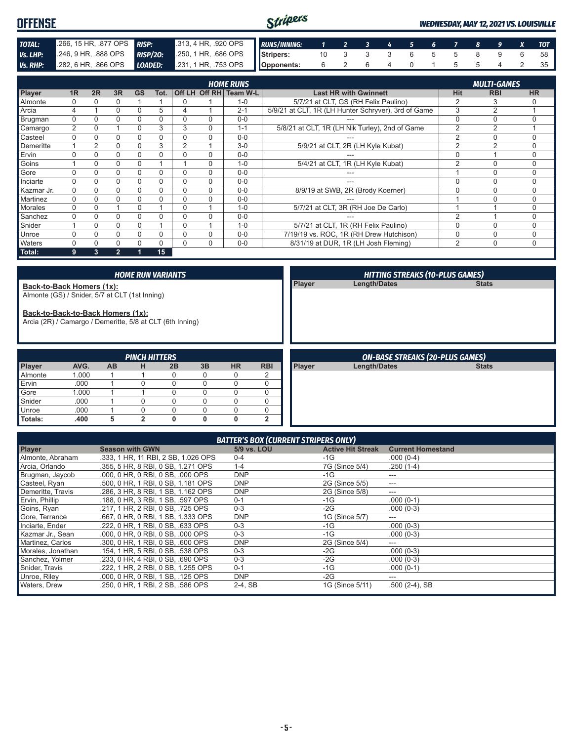| <b>OFFENSE</b>  |                           |                 |                                        | Stripers   |                                                                      |          |  |       |  |  | <b>WEDNESDAY, MAY 12, 2021 VS. LOUISVILLE</b> |
|-----------------|---------------------------|-----------------|----------------------------------------|------------|----------------------------------------------------------------------|----------|--|-------|--|--|-----------------------------------------------|
| TOTAL:          | 266, 15 HR, 877 OPS RISP: |                 | 313, 4 HR, 920 OPS <b>RUNS/INNING:</b> |            | $\begin{array}{cccccccccccccccccc} &1&2&3&4&5&6&7&8&9&X \end{array}$ |          |  |       |  |  | <b>TOT</b>                                    |
| Vs. LHP:        | 246, 9 HR, 888 OPS        | <b>RISP/20:</b> | 250, 1 HR, 686 OPS Stripers:           |            |                                                                      | 10 3 3 3 |  | 6 5 5 |  |  | 58                                            |
| <b>Vs. RHP:</b> | 282, 6 HR, .866 OPS       | LOADED:         | 231, 1 HR, 753 OPS                     | Opponents: | 6                                                                    |          |  |       |  |  |                                               |

| <b>HOME RUNS</b> |                |                |                |           |          |                |          |                        |                                                     |                | <b>MULTI-GAMES</b> |             |  |  |  |
|------------------|----------------|----------------|----------------|-----------|----------|----------------|----------|------------------------|-----------------------------------------------------|----------------|--------------------|-------------|--|--|--|
| Player           | 1 <sub>R</sub> | 2R             | 3R             | <b>GS</b> | Tot.     |                |          | Off LH Off RH Team W-L | <b>Last HR with Gwinnett</b>                        | Hit            | <b>RBI</b>         | <b>HR</b>   |  |  |  |
| Almonte          | 0              |                |                |           |          | 0              |          | $1 - 0$                | 5/7/21 at CLT, GS (RH Felix Paulino)                | $\overline{2}$ |                    |             |  |  |  |
| Arcia            | 4              |                | 0              | $\Omega$  | 5        |                |          | $2 - 1$                | 5/9/21 at CLT, 1R (LH Hunter Schryver), 3rd of Game | 3              | $\overline{2}$     |             |  |  |  |
| Brugman          | $\Omega$       |                |                |           | $\Omega$ | 0              | $\Omega$ | $0 - 0$                |                                                     | $\Omega$       | 0                  |             |  |  |  |
| Camargo          | 2              | 0              |                | 0         | 3        | 3              | $\Omega$ | $1 - 1$                | 5/8/21 at CLT, 1R (LH Nik Turley), 2nd of Game      | $\overline{2}$ | $\overline{2}$     |             |  |  |  |
| Casteel          | $\Omega$       | 0              | 0              | 0         | $\Omega$ | $\Omega$       | $\Omega$ | $0 - 0$                |                                                     | $\overline{2}$ | $\Omega$           | 0           |  |  |  |
| Demeritte        |                | $\overline{2}$ |                |           | 3        | $\overline{2}$ |          | $3-0$                  | 5/9/21 at CLT, 2R (LH Kyle Kubat)                   | $\overline{2}$ | C                  | 0           |  |  |  |
| Ervin            | U              |                |                |           |          | 0              | $\Omega$ | $0 - 0$                |                                                     | $\Omega$       |                    | $\Omega$    |  |  |  |
| Goins            |                | 0              | 0              | 0         |          |                | $\Omega$ | $1 - 0$                | 5/4/21 at CLT, 1R (LH Kyle Kubat)                   | $\overline{2}$ | $\Omega$           | 0           |  |  |  |
| Gore             | $\Omega$       | $\Omega$       | 0              | $\Omega$  | $\Omega$ | 0              | $\Omega$ | $0 - 0$                |                                                     |                | $\Omega$           | 0           |  |  |  |
| Inciarte         | $\Omega$       | 0              | 0              | 0         | $\Omega$ | $\Omega$       | $\Omega$ | $0 - 0$                | ---                                                 | $\Omega$       | 0                  | $\mathbf 0$ |  |  |  |
| Kazmar Jr.       | 0              | 0              | 0              | 0         |          | 0              | $\Omega$ | $0 - 0$                | 8/9/19 at SWB, 2R (Brody Koerner)                   | 0              | 0                  | 0           |  |  |  |
| Martinez         | $\Omega$       |                | 0              |           | $\Omega$ | 0              | $\Omega$ | $0 - 0$                |                                                     |                | $\Omega$           | $\Omega$    |  |  |  |
| <b>Morales</b>   | $\Omega$       | $\Omega$       |                | $\Omega$  |          | $\Omega$       |          | $1 - 0$                | 5/7/21 at CLT, 3R (RH Joe De Carlo)                 |                |                    | 0           |  |  |  |
| Sanchez          | $\Omega$       | 0              | 0              |           |          | $\Omega$       | $\Omega$ | $0 - 0$                |                                                     | $\overline{2}$ |                    | 0           |  |  |  |
| Snider           |                | $\Omega$       | 0              | 0         |          | $\Omega$       |          | $1 - 0$                | 5/7/21 at CLT, 1R (RH Felix Paulino)                | $\Omega$       | 0                  | 0           |  |  |  |
| Unroe            | 0              | 0              | 0              | 0         | $\Omega$ | 0              | $\Omega$ | $0 - 0$                | 7/19/19 vs. ROC, 1R (RH Drew Hutchison)             | 0              | $\mathbf 0$        | 0           |  |  |  |
| Waters           | $\Omega$       |                | 0              |           |          | 0              | $\Omega$ | $0 - 0$                | 8/31/19 at DUR, 1R (LH Josh Fleming)                | $\overline{2}$ | 0                  | 0           |  |  |  |
| Total:           | 9              | 3              | $\overline{2}$ |           | 15       |                |          |                        |                                                     |                |                    |             |  |  |  |

|                                                                                                                                                                               |       |           |                      | <b>HOME RUN VARIANTS</b> |    |           |                | <b>HITTING STREAKS (10-PLUS GAMES)</b> |                                        |              |  |  |  |
|-------------------------------------------------------------------------------------------------------------------------------------------------------------------------------|-------|-----------|----------------------|--------------------------|----|-----------|----------------|----------------------------------------|----------------------------------------|--------------|--|--|--|
| Back-to-Back Homers (1x):<br>Almonte (GS) / Snider, 5/7 at CLT (1st Inning)<br>Back-to-Back-to-Back Homers (1x):<br>Arcia (2R) / Camargo / Demeritte, 5/8 at CLT (6th Inning) |       |           |                      |                          |    |           |                | <b>Player</b>                          | Length/Dates                           | <b>Stats</b> |  |  |  |
|                                                                                                                                                                               |       |           |                      |                          |    |           |                |                                        |                                        |              |  |  |  |
|                                                                                                                                                                               |       |           |                      |                          |    |           |                |                                        |                                        |              |  |  |  |
|                                                                                                                                                                               |       |           | <b>PINCH HITTERS</b> |                          |    |           |                |                                        | <b>ON-BASE STREAKS (20-PLUS GAMES)</b> |              |  |  |  |
| Player                                                                                                                                                                        | AVG.  | <b>AB</b> | н                    | 2B                       | 3B | <b>HR</b> | <b>RBI</b>     | <b>Player</b>                          | Length/Dates                           | <b>Stats</b> |  |  |  |
| Almonte                                                                                                                                                                       | 1.000 |           |                      | $\Omega$                 | 0  | 0         | $\overline{2}$ |                                        |                                        |              |  |  |  |
| Ervin                                                                                                                                                                         | .000  |           |                      | $\Omega$                 | 0  | 0         | $\mathbf 0$    |                                        |                                        |              |  |  |  |
| Gore                                                                                                                                                                          | 1.000 |           |                      | $\Omega$                 | 0  | $\Omega$  | $\Omega$       |                                        |                                        |              |  |  |  |
| Snider                                                                                                                                                                        | .000  |           |                      | $\Omega$                 | 0  | $\Omega$  | $\Omega$       |                                        |                                        |              |  |  |  |
| Unroe                                                                                                                                                                         | .000  |           | 0                    | $\Omega$                 | 0  | 0         | $\Omega$       |                                        |                                        |              |  |  |  |

| <b>BATTER'S BOX (CURRENT STRIPERS ONLY)</b> |                                     |             |                          |                          |  |  |  |  |  |  |  |
|---------------------------------------------|-------------------------------------|-------------|--------------------------|--------------------------|--|--|--|--|--|--|--|
| <b>Player</b>                               | <b>Season with GWN</b>              | 5/9 vs. LOU | <b>Active Hit Streak</b> | <b>Current Homestand</b> |  |  |  |  |  |  |  |
| Almonte, Abraham                            | .333, 1 HR, 11 RBI, 2 SB, 1.026 OPS | $0 - 4$     | $-1G$                    | $.000(0-4)$              |  |  |  |  |  |  |  |
| Arcia, Orlando                              | .355, 5 HR, 8 RBI, 0 SB, 1.271 OPS  | $1 - 4$     | 7G (Since 5/4)           | $.250(1-4)$              |  |  |  |  |  |  |  |
| Brugman, Jaycob                             | .000, 0 HR, 0 RBI, 0 SB, .000 OPS   | <b>DNP</b>  | $-1G$                    | ---                      |  |  |  |  |  |  |  |
| Casteel, Ryan                               | .500, 0 HR, 1 RBI, 0 SB, 1.181 OPS  | <b>DNP</b>  | 2G (Since 5/5)           | $- - -$                  |  |  |  |  |  |  |  |
| Demeritte, Travis                           | .286, 3 HR, 8 RBI, 1 SB, 1.162 OPS  | <b>DNP</b>  | 2G (Since 5/8)           | ---                      |  |  |  |  |  |  |  |
| Ervin, Phillip                              | .188. 0 HR. 3 RBI. 1 SB. .597 OPS   | $0 - 1$     | $-1G$                    | $.000(0-1)$              |  |  |  |  |  |  |  |
| Goins, Ryan                                 | .217. 1 HR. 2 RBI. 0 SB. .725 OPS   | $0 - 3$     | $-2G$                    | $.000(0-3)$              |  |  |  |  |  |  |  |
| Gore, Terrance                              | .667, 0 HR, 0 RBI, 1 SB, 1,333 OPS  | <b>DNP</b>  | 1G (Since 5/7)           | $---$                    |  |  |  |  |  |  |  |
| Inciarte, Ender                             | .222, 0 HR, 1 RBI, 0 SB, .633 OPS   | $0 - 3$     | $-1G$                    | $.000(0-3)$              |  |  |  |  |  |  |  |
| Kazmar Jr., Sean                            | .000, 0 HR, 0 RBI, 0 SB, .000 OPS   | $0 - 3$     | $-1G$                    | $.000(0-3)$              |  |  |  |  |  |  |  |
| Martinez, Carlos                            | .300, 0 HR, 1 RBI, 0 SB, .600 OPS   | <b>DNP</b>  | 2G (Since 5/4)           | $\hspace{0.05cm} \ldots$ |  |  |  |  |  |  |  |
| Morales, Jonathan                           | .154. 1 HR. 5 RBI. 0 SB. .538 OPS   | $0 - 3$     | $-2G$                    | $.000(0-3)$              |  |  |  |  |  |  |  |
| Sanchez, Yolmer                             | .233. 0 HR. 4 RBI. 0 SB. .690 OPS   | $0 - 3$     | $-2G$                    | $.000(0-3)$              |  |  |  |  |  |  |  |
| Snider, Travis                              | .222, 1 HR, 2 RBI, 0 SB, 1.255 OPS  | $0 - 1$     | $-1G$                    | $.000(0-1)$              |  |  |  |  |  |  |  |
| Unroe, Riley                                | .000, 0 HR, 0 RBI, 1 SB, .125 OPS   | <b>DNP</b>  | $-2G$                    | $--$                     |  |  |  |  |  |  |  |
| <b>Waters, Drew</b>                         | .250, 0 HR, 1 RBI, 2 SB, .586 OPS   | $2-4$ , SB  | 1G (Since 5/11)          | $.500(2-4)$ , SB         |  |  |  |  |  |  |  |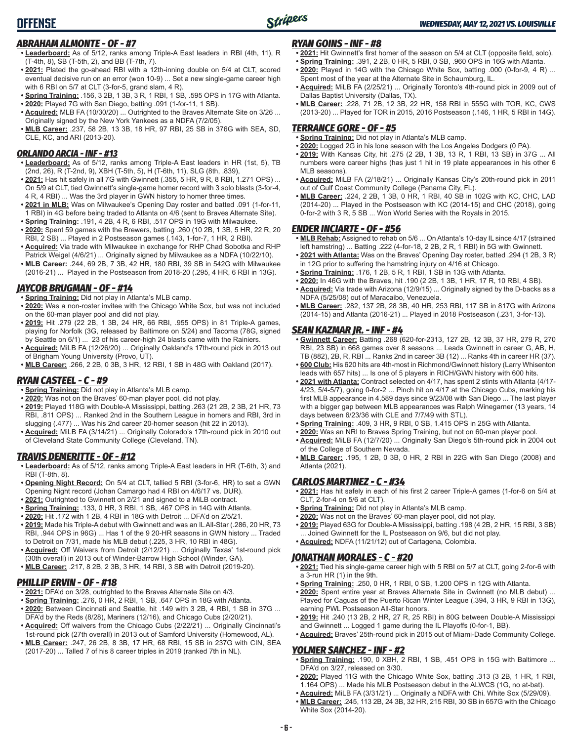### *ABRAHAM ALMONTE - OF - #7*

- **• Leaderboard:** As of 5/12, ranks among Triple-A East leaders in RBI (4th, 11), R (T-4th, 8), SB (T-5th, 2), and BB (T-7th, 7).
- **• 2021:** Plated the go-ahead RBI with a 12th-inning double on 5/4 at CLT, scored eventual decisive run on an error (won 10-9) ... Set a new single-game career high with 6 RBI on 5/7 at CLT (3-for-5, grand slam, 4 R).
- **• Spring Training:** .156, 3 2B, 1 3B, 3 R, 1 RBI, 1 SB, .595 OPS in 17G with Atlanta.
- **• 2020:** Played 7G with San Diego, batting .091 (1-for-11, 1 SB).
- **• Acquired:** MLB FA (10/30/20) ... Outrighted to the Braves Alternate Site on 3/26 ... Originally signed by the New York Yankees as a NDFA (7/2/05).
- **• MLB Career:** .237, 58 2B, 13 3B, 18 HR, 97 RBI, 25 SB in 376G with SEA, SD, CLE, KC, and ARI (2013-20).

#### *ORLANDO ARCIA - INF - #13*

- **• Leaderboard:** As of 5/12, ranks among Triple-A East leaders in HR (1st, 5), TB (2nd, 26), R (T-2nd, 9), XBH (T-5th, 5), H (T-6th, 11), SLG (8th, .839),
- **• 2021:** Has hit safely in all 7G with Gwinnett (.355, 5 HR, 9 R, 8 RBI, 1.271 OPS) ... On 5/9 at CLT, tied Gwinnett's single-game homer record with 3 solo blasts (3-for-4, 4 R, 4 RBI) ... Was the 3rd player in GWN history to homer three times.
- **• 2021 in MLB:** Was on Milwaukee's Opening Day roster and batted .091 (1-for-11, 1 RBI) in 4G before being traded to Atlanta on 4/6 (sent to Braves Alternate Site).
- **• Spring Training:** .191, 4 2B, 4 R, 6 RBI, .517 OPS in 19G with Milwaukee. **• 2020:** Spent 59 games with the Brewers, batting .260 (10 2B, 1 3B, 5 HR, 22 R, 20
- RBI, 2 SB) ... Played in 2 Postseason games (.143, 1-for-7, 1 HR, 2 RBI). **• Acquired:** Via trade with Milwaukee in exchange for RHP Chad Sobotka and RHP
- Patrick Weigel (4/6/21) ... Originally signed by Milwaukee as a NDFA (10/22/10). **• MLB Career:** .244, 69 2B, 7 3B, 42 HR, 180 RBI, 39 SB in 542G with Milwaukee
- (2016-21) ... Played in the Postseason from 2018-20 (.295, 4 HR, 6 RBI in 13G).

### *JAYCOB BRUGMAN - OF - #14*

- **• Spring Training:** Did not play in Atlanta's MLB camp.
- **• 2020:** Was a non-roster invitee with the Chicago White Sox, but was not included on the 60-man player pool and did not play.
- **• 2019:** Hit .279 (22 2B, 1 3B, 24 HR, 66 RBI, .955 OPS) in 81 Triple-A games, playing for Norfolk (3G, released by Baltimore on 5/24) and Tacoma (78G, signed by Seattle on 6/1) ... 23 of his career-high 24 blasts came with the Rainiers.
- **• Acquired:** MiLB FA (12/26/20) ... Originally Oakland's 17th-round pick in 2013 out of Brigham Young University (Provo, UT).
- **• MLB Career:** .266, 2 2B, 0 3B, 3 HR, 12 RBI, 1 SB in 48G with Oakland (2017).

### *RYAN CASTEEL - C - #9*

- **• Spring Training:** Did not play in Atlanta's MLB camp.
- **• 2020:** Was not on the Braves' 60-man player pool, did not play.
- **• 2019:** Played 118G with Double-A Mississippi, batting .263 (21 2B, 2 3B, 21 HR, 73 RBI, .811 OPS) ... Ranked 2nd in the Southern League in homers and RBI, 3rd in slugging (.477) ... Was his 2nd career 20-homer season (hit 22 in 2013).
- **• Acquired:** MiLB FA (3/14/21) ... Originally Colorado's 17th-round pick in 2010 out of Cleveland State Community College (Cleveland, TN).

### *TRAVIS DEMERITTE - OF - #12*

- **• Leaderboard:** As of 5/12, ranks among Triple-A East leaders in HR (T-6th, 3) and RBI (T-8th, 8).
- **• Opening Night Record:** On 5/4 at CLT, tallied 5 RBI (3-for-6, HR) to set a GWN Opening Night record (Johan Camargo had 4 RBI on 4/6/17 vs. DUR).
- **• 2021:** Outrighted to Gwinnett on 2/21 and signed to a MiLB contract.
- **• Spring Training:** .133, 0 HR, 3 RBI, 1 SB, .467 OPS in 14G with Atlanta.
- **• 2020:** Hit .172 with 1 2B, 4 RBI in 18G with Detroit ... DFA'd on 2/5/21.
- **• 2019:** Made his Triple-A debut with Gwinnett and was an IL All-Star (.286, 20 HR, 73 RBI, .944 OPS in 96G) ... Has 1 of the 9 20-HR seasons in GWN history ... Traded to Detroit on 7/31, made his MLB debut (.225, 3 HR, 10 RBI in 48G).
- **Acquired:** Off Waivers from Detroit (2/12/21) ... Originally Texas' 1st-round pick (30th overall) in 2013 out of Winder-Barrow High School (Winder, GA).
- **• MLB Career:** .217, 8 2B, 2 3B, 3 HR, 14 RBI, 3 SB with Detroit (2019-20).

### *PHILLIP ERVIN - OF - #18*

- **• 2021:** DFA'd on 3/28, outrighted to the Braves Alternate Site on 4/3.
- **• Spring Training:** .276, 0 HR, 2 RBI, 1 SB, .647 OPS in 18G with Atlanta.
- **• 2020:** Between Cincinnati and Seattle, hit .149 with 3 2B, 4 RBI, 1 SB in 37G ... DFA'd by the Reds (8/28), Mariners (12/16), and Chicago Cubs (2/20/21).
- **• Acquired:** Off waivers from the Chicago Cubs (2/22/21) ... Originally Cincinnati's 1st-round pick (27th overall) in 2013 out of Samford University (Homewood, AL).
- **• MLB Career:** .247, 26 2B, 8 3B, 17 HR, 68 RBI, 15 SB in 237G with CIN, SEA (2017-20) ... Talled 7 of his 8 career triples in 2019 (ranked 7th in NL).

### *RYAN GOINS - INF - #8*

- **• 2021:** Hit Gwinnett's first homer of the season on 5/4 at CLT (opposite field, solo). **• Spring Training:** .391, 2 2B, 0 HR, 5 RBI, 0 SB, .960 OPS in 16G with Atlanta.
- **• 2020:** Played in 14G with the Chicago White Sox, batting .000 (0-for-9, 4 R) ... Spent most of the year at the Alternate Site in Schaumburg, IL.
- **• Acquired:** MiLB FA (2/25/21) ... Originally Toronto's 4th-round pick in 2009 out of Dallas Baptist University (Dallas, TX).
- **• MLB Career:** .228, 71 2B, 12 3B, 22 HR, 158 RBI in 555G with TOR, KC, CWS (2013-20) ... Played for TOR in 2015, 2016 Postseason (.146, 1 HR, 5 RBI in 14G).

### *TERRANCE GORE - OF - #5*

- **• Spring Training:** Did not play in Atlanta's MLB camp.
- **• 2020:** Logged 2G in his lone season with the Los Angeles Dodgers (0 PA).
- **• 2019:** With Kansas City, hit .275 (2 2B, 1 3B, 13 R, 1 RBI, 13 SB) in 37G ... All numbers were career highs (has just 1 hit in 19 plate appearances in his other 6 MLB seasons).
- **• Acquired:** MiLB FA (2/18/21) ... Originally Kansas City's 20th-round pick in 2011 out of Gulf Coast Community College (Panama City, FL).
- **• MLB Career:** .224, 2 2B, 1 3B, 0 HR, 1 RBI, 40 SB in 102G with KC, CHC, LAD (2014-20) ... Played in the Postseason with KC (2014-15) and CHC (2018), going 0-for-2 with 3 R, 5 SB ... Won World Series with the Royals in 2015.

### *ENDER INCIARTE - OF - #56*

**• MLB Rehab:** Assigned to rehab on 5/6 ... On Atlanta's 10-day IL since 4/17 (strained left hamstring) ... Batting .222 (4-for-18, 2 2B, 2 R, 1 RBI) in 5G with Gwinnett.

- **• 2021 with Atlanta:** Was on the Braves' Opening Day roster, batted .294 (1 2B, 3 R) in 12G prior to suffering the hamstring injury on 4/16 at Chicago.
- **• Spring Training:** .176, 1 2B, 5 R, 1 RBI, 1 SB in 13G with Atlanta.
- **• 2020:** In 46G with the Braves, hit .190 (2 2B, 1 3B, 1 HR, 17 R, 10 RBI, 4 SB).
- **• Acquired:** Via trade with Arizona (12/9/15) ... Originally signed by the D-backs as a NDFA (5/25/08) out of Maracaibo, Venezuela.
- **• MLB Career:** .282, 137 2B, 28 3B, 40 HR, 253 RBI, 117 SB in 817G with Arizona (2014-15) and Atlanta (2016-21) ... Played in 2018 Postseason (.231, 3-for-13).

### *SEAN KAZMAR JR. - INF - #4*

- **• Gwinnett Career:** Batting .268 (620-for-2313, 127 2B, 12 3B, 37 HR, 279 R, 270 RBI, 23 SB) in 668 games over 8 seasons ... Leads Gwinnett in career G, AB, H, TB (882), 2B, R, RBI ... Ranks 2nd in career 3B (12) ... Ranks 4th in career HR (37).
- **• 600 Club:** His 620 hits are 4th-most in Richmond/Gwinnett history (Larry Whisenton leads with 657 hits) ... Is one of 5 players in RICH/GWN history with 600 hits.
- **• 2021 with Atlanta:** Contract selected on 4/17, has spent 2 stints with Atlanta (4/17- 4/23, 5/4-5/7), going 0-for-2 ... Pinch hit on 4/17 at the Chicago Cubs, marking his first MLB appearance in 4,589 days since 9/23/08 with San Diego ... The last player with a bigger gap between MLB appearances was Ralph Winegarner (13 years, 14 days between 6/23/36 with CLE and 7/7/49 with STL).
- **• Spring Training:** .409, 3 HR, 9 RBI, 0 SB, 1.415 OPS in 25G with Atlanta.
- **• 2020:** Was an NRI to Braves Spring Training, but not on 60-man player pool.
- **• Acquired:** MiLB FA (12/7/20) ... Originally San Diego's 5th-round pick in 2004 out of the College of Southern Nevada.
- **• MLB Career:** .195, 1 2B, 0 3B, 0 HR, 2 RBI in 22G with San Diego (2008) and Atlanta (2021).

### *CARLOS MARTINEZ - C - #34*

- **• 2021:** Has hit safely in each of his first 2 career Triple-A games (1-for-6 on 5/4 at CLT, 2-for-4 on 5/6 at CLT).
- **• Spring Training:** Did not play in Atlanta's MLB camp.
- **• 2020:** Was not on the Braves' 60-man player pool, did not play.
- **• 2019:** Played 63G for Double-A Mississippi, batting .198 (4 2B, 2 HR, 15 RBI, 3 SB) ... Joined Gwinnett for the IL Postseason on 9/6, but did not play. **• Acquired:** NDFA (11/21/12) out of Cartagena, Colombia.
- 

#### *JONATHAN MORALES - C - #20*

- **• 2021:** Tied his single-game career high with 5 RBI on 5/7 at CLT, going 2-for-6 with a 3-run HR (1) in the 9th.
- **• Spring Training:** .250, 0 HR, 1 RBI, 0 SB, 1.200 OPS in 12G with Atlanta.
- **• 2020:** Spent entire year at Braves Alternate Site in Gwinnett (no MLB debut) ... Played for Caguas of the Puerto Rican Winter League (.394, 3 HR, 9 RBI in 13G), earning PWL Postseason All-Star honors.
- **• 2019:** Hit .240 (13 2B, 2 HR, 27 R, 25 RBI) in 80G between Double-A Mississippi and Gwinnett ... Logged 1 game during the IL Playoffs (0-for-1, BB).
- **• Acquired:** Braves' 25th-round pick in 2015 out of Miami-Dade Community College.

### *YOLMER SANCHEZ - INF - #2*

- **• Spring Training:** .190, 0 XBH, 2 RBI, 1 SB, .451 OPS in 15G with Baltimore ... DFA'd on 3/27, released on 3/30.
- **• 2020:** Played 11G with the Chicago White Sox, batting .313 (3 2B, 1 HR, 1 RBI, 1.164 OPS) ... Made his MLB Postseason debut in the ALWCS (1G, no at-bat).
- **• Acquired:** MiLB FA (3/31/21) ... Originally a NDFA with Chi. White Sox (5/29/09). **• MLB Career:** .245, 113 2B, 24 3B, 32 HR, 215 RBI, 30 SB in 657G with the Chicago White Sox (2014-20).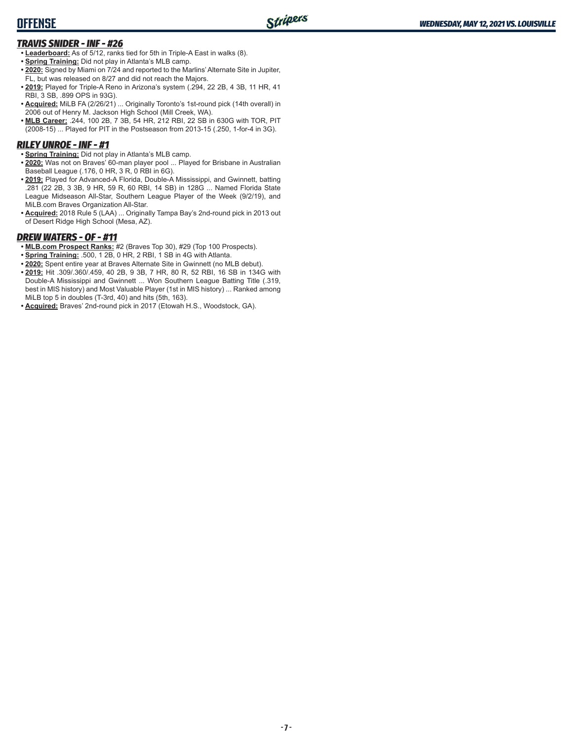### **OFFENSE**

### *TRAVIS SNIDER - INF - #26*

- **• Leaderboard:** As of 5/12, ranks tied for 5th in Triple-A East in walks (8).
- **• Spring Training:** Did not play in Atlanta's MLB camp.
- **• 2020:** Signed by Miami on 7/24 and reported to the Marlins' Alternate Site in Jupiter, FL, but was released on 8/27 and did not reach the Majors.
- **• 2019:** Played for Triple-A Reno in Arizona's system (.294, 22 2B, 4 3B, 11 HR, 41 RBI, 3 SB, .899 OPS in 93G).
- **• Acquired:** MiLB FA (2/26/21) ... Originally Toronto's 1st-round pick (14th overall) in 2006 out of Henry M. Jackson High School (Mill Creek, WA).
- **• MLB Career:** .244, 100 2B, 7 3B, 54 HR, 212 RBI, 22 SB in 630G with TOR, PIT (2008-15) ... Played for PIT in the Postseason from 2013-15 (.250, 1-for-4 in 3G).

### *RILEY UNROE - INF - #1*

- **• Spring Training:** Did not play in Atlanta's MLB camp.
- **• 2020:** Was not on Braves' 60-man player pool ... Played for Brisbane in Australian Baseball League (.176, 0 HR, 3 R, 0 RBI in 6G).
- **• 2019:** Played for Advanced-A Florida, Double-A Mississippi, and Gwinnett, batting .281 (22 2B, 3 3B, 9 HR, 59 R, 60 RBI, 14 SB) in 128G ... Named Florida State League Midseason All-Star, Southern League Player of the Week (9/2/19), and MiLB.com Braves Organization All-Star.
- **• Acquired:** 2018 Rule 5 (LAA) ... Originally Tampa Bay's 2nd-round pick in 2013 out of Desert Ridge High School (Mesa, AZ).

### *DREW WATERS - OF - #11*

- **• MLB.com Prospect Ranks:** #2 (Braves Top 30), #29 (Top 100 Prospects).
- **• Spring Training:** .500, 1 2B, 0 HR, 2 RBI, 1 SB in 4G with Atlanta.
- **• 2020:** Spent entire year at Braves Alternate Site in Gwinnett (no MLB debut).
- **• 2019:** Hit .309/.360/.459, 40 2B, 9 3B, 7 HR, 80 R, 52 RBI, 16 SB in 134G with Double-A Mississippi and Gwinnett ... Won Southern League Batting Title (.319, best in MIS history) and Most Valuable Player (1st in MIS history) ... Ranked among MiLB top 5 in doubles (T-3rd, 40) and hits (5th, 163).
- **• Acquired:** Braves' 2nd-round pick in 2017 (Etowah H.S., Woodstock, GA).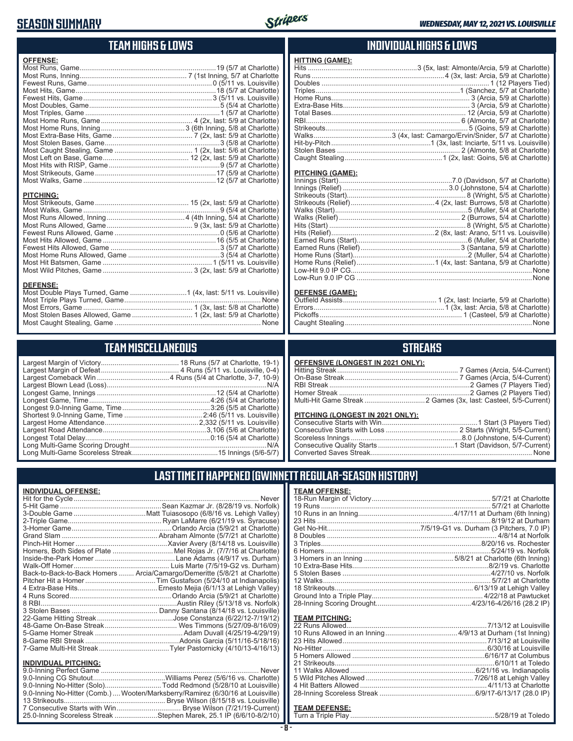### **SEASON SUMMARY**



### **TEAM HIGHS & LOWS**

| <b>OFFENSE:</b>                                                |  |
|----------------------------------------------------------------|--|
|                                                                |  |
| <b>PITCHING:</b><br><b>DEFENSE:</b>                            |  |
| $M_{\text{out}}$ Triple Dlave Turneed Cance<br>$h \sim \infty$ |  |

#### Most Triple Plays Turned, Game ...................................................................... None Most Errors, Game ........................................................ 1 (3x, last: 5/8 at Charlotte) Most Stolen Bases Allowed, Game ............................... 1 (2x, last: 5/9 at Charlotte) Most Caught Stealing, Game ........................................................................... None

### **TEAM MISCELLANEOUS**

### **INDIVIDUAL HIGHS & LOWS**

| <b>HITTING (GAME):</b> |  |
|------------------------|--|
|                        |  |
|                        |  |
|                        |  |
|                        |  |
|                        |  |
|                        |  |
|                        |  |
|                        |  |
|                        |  |
|                        |  |
|                        |  |
|                        |  |
|                        |  |

#### **PITCHING (GAME):**

#### **DEFENSE (GAME):**

### **STREAKS**

| <b>OFFENSIVE (LONGEST IN 2021 ONLY):</b> |  |
|------------------------------------------|--|
|                                          |  |
|                                          |  |
|                                          |  |
|                                          |  |
|                                          |  |

#### **PITCHING (LONGEST IN 2021 ONLY)**

| <u>I II OHINO (LONOLO I IN 2021 ONE I J.</u> |  |
|----------------------------------------------|--|
|                                              |  |
|                                              |  |
|                                              |  |
|                                              |  |
|                                              |  |
|                                              |  |

### **LAST TIME IT HAPPENED (GWINNETT REGULAR-SEASON HISTORY)**

| <b>INDIVIDUAL OFFENSE:</b>                                                      |                      |
|---------------------------------------------------------------------------------|----------------------|
|                                                                                 | $rac{\text{TE}}{18}$ |
|                                                                                 | 19                   |
|                                                                                 | 10                   |
|                                                                                 | 23                   |
|                                                                                 | Ge                   |
|                                                                                 | 8 <sup>1</sup>       |
|                                                                                 | $\overline{3}$       |
|                                                                                 | 6 <sup>1</sup>       |
|                                                                                 | 3 <sup>1</sup>       |
|                                                                                 | 10                   |
| Back-to-Back-to-Back Homers  Arcia/Camargo/Demeritte (5/8/21 at Charlotte)      | 5:                   |
|                                                                                 | 12                   |
|                                                                                 | 18                   |
|                                                                                 | Gr                   |
|                                                                                 | 28                   |
|                                                                                 |                      |
|                                                                                 | <u>TE</u>            |
|                                                                                 | $\overline{22}$      |
|                                                                                 | 10                   |
|                                                                                 | 23                   |
|                                                                                 | No                   |
|                                                                                 | 5 <sub>1</sub>       |
| <b>INDIVIDUAL PITCHING:</b>                                                     | $\overline{21}$      |
|                                                                                 | 11                   |
|                                                                                 | 5 <sup>1</sup>       |
| 9.0-Inning No-Hitter (Solo)Todd Redmond (5/28/10 at Louisville)                 | 4                    |
| 9.0-Inning No-Hitter (Comb.)  Wooten/Marksberry/Ramirez (6/30/16 at Louisville) | 28                   |
|                                                                                 |                      |
|                                                                                 | TE                   |

25.0-Inning Scoreless Streak ......................Stephen Marek, 25.1 IP (6/6/10-8/2/10)

| <b>TEAM OFFENSE:</b> |  |
|----------------------|--|
|                      |  |
|                      |  |
|                      |  |
|                      |  |
|                      |  |
|                      |  |
|                      |  |
|                      |  |
|                      |  |
|                      |  |
|                      |  |
|                      |  |
|                      |  |
|                      |  |
|                      |  |
|                      |  |

### **TEAM PITCHING:**

#### **TEAM DEFENSE:**